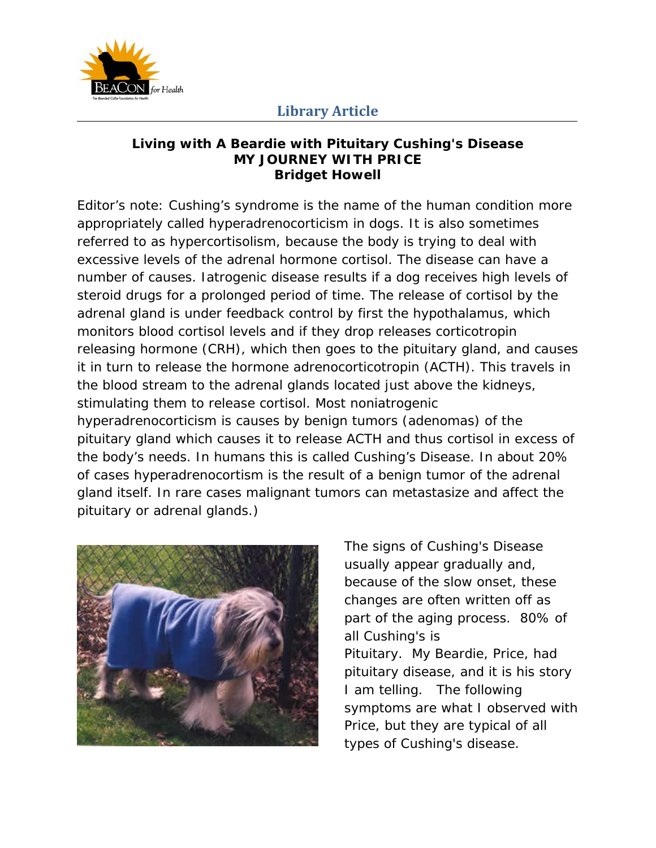

#### **Living with A Beardie with Pituitary Cushing's Disease MY JOURNEY WITH PRICE Bridget Howell**

*Editor's note: Cushing's syndrome is the name of the human condition more appropriately called hyperadrenocorticism in dogs. It is also sometimes referred to as hypercortisolism, because the body is trying to deal with excessive levels of the adrenal hormone cortisol. The disease can have a number of causes. Iatrogenic disease results if a dog receives high levels of steroid drugs for a prolonged period of time. The release of cortisol by the adrenal gland is under feedback control by first the hypothalamus, which monitors blood cortisol levels and if they drop releases corticotropin releasing hormone (CRH), which then goes to the pituitary gland, and causes it in turn to release the hormone adrenocorticotropin (ACTH). This travels in the blood stream to the adrenal glands located just above the kidneys, stimulating them to release cortisol. Most noniatrogenic hyperadrenocorticism is causes by benign tumors (adenomas) of the pituitary gland which causes it to release ACTH and thus cortisol in excess of the body's needs. In humans this is called Cushing's Disease. In about 20% of cases hyperadrenocortism is the result of a benign tumor of the adrenal gland itself. In rare cases malignant tumors can metastasize and affect the pituitary or adrenal glands.)* 



The signs of Cushing's Disease usually appear gradually and, because of the slow onset, these changes are often written off as part of the aging process. 80% of all Cushing's is Pituitary. My Beardie, Price, had pituitary disease, and it is his story I am telling. The following symptoms are what I observed with Price, but they are typical of all types of Cushing's disease.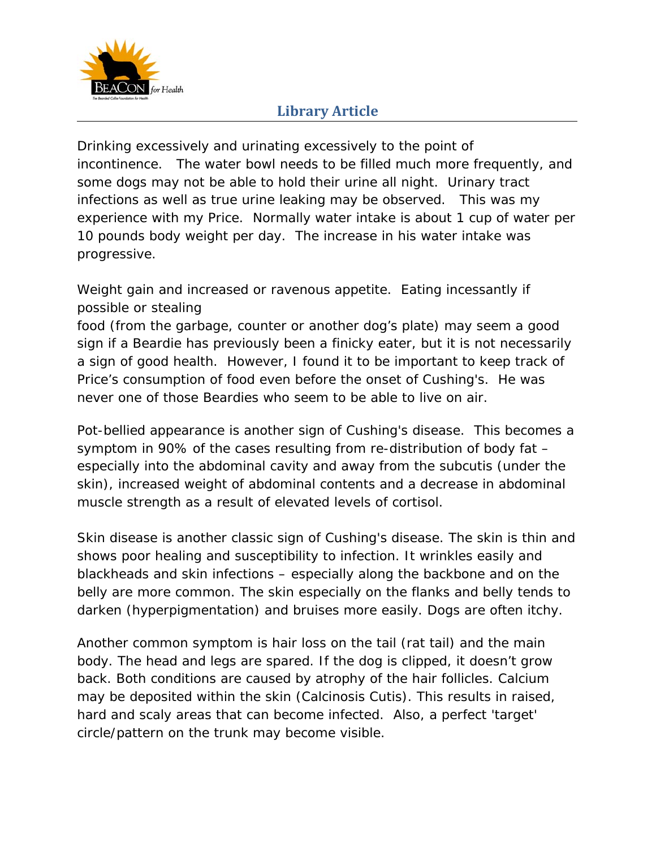

Drinking excessively and urinating excessively to the point of incontinence. The water bowl needs to be filled much more frequently, and some dogs may not be able to hold their urine all night. Urinary tract infections as well as true urine leaking may be observed. This was my experience with my Price. Normally water intake is about 1 cup of water per 10 pounds body weight per day. The increase in his water intake was progressive.

Weight gain and increased or ravenous appetite. Eating incessantly if possible or stealing

food (from the garbage, counter or another dog's plate) may seem a good sign if a Beardie has previously been a finicky eater, but it is not necessarily a sign of good health. However, I found it to be important to keep track of Price's consumption of food even before the onset of Cushing's. He was never one of those Beardies who seem to be able to live on air.

Pot-bellied appearance is another sign of Cushing's disease. This becomes a symptom in 90% of the cases resulting from re-distribution of body fat – especially into the abdominal cavity and away from the subcutis (under the skin), increased weight of abdominal contents and a decrease in abdominal muscle strength as a result of elevated levels of cortisol.

Skin disease is another classic sign of Cushing's disease. The skin is thin and shows poor healing and susceptibility to infection. It wrinkles easily and blackheads and skin infections – especially along the backbone and on the belly are more common. The skin especially on the flanks and belly tends to darken (hyperpigmentation) and bruises more easily. Dogs are often itchy.

Another common symptom is hair loss on the tail (rat tail) and the main body. The head and legs are spared. If the dog is clipped, it doesn't grow back. Both conditions are caused by atrophy of the hair follicles. Calcium may be deposited within the skin (Calcinosis Cutis). This results in raised, hard and scaly areas that can become infected. Also, a perfect 'target' circle/pattern on the trunk may become visible.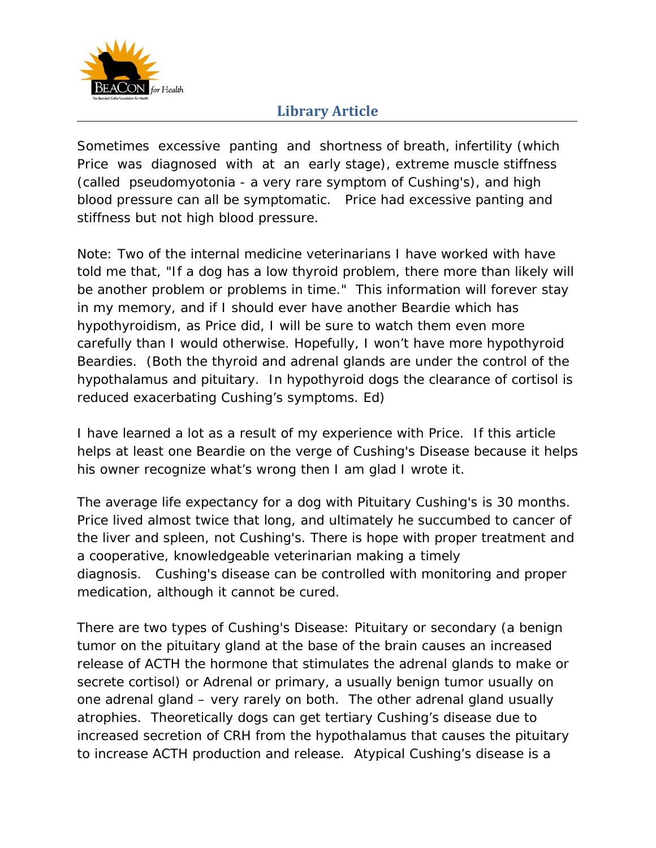

Sometimes excessive panting and shortness of breath, infertility (which Price was diagnosed with at an early stage), extreme muscle stiffness (called pseudomyotonia - a very rare symptom of Cushing's), and high blood pressure can all be symptomatic. Price had excessive panting and stiffness but not high blood pressure.

Note: Two of the internal medicine veterinarians I have worked with have told me that, "If a dog has a low thyroid problem, there more than likely will be another problem or problems in time." This information will forever stay in my memory, and if I should ever have another Beardie which has hypothyroidism, as Price did, I will be sure to watch them even more carefully than I would otherwise. Hopefully, I won't have more hypothyroid Beardies. (*Both the thyroid and adrenal glands are under the control of the hypothalamus and pituitary. In hypothyroid dogs the clearance of cortisol is reduced exacerbating Cushing's symptoms. Ed*)

I have learned a lot as a result of my experience with Price. If this article helps at least one Beardie on the verge of Cushing's Disease because it helps his owner recognize what's wrong then I am glad I wrote it.

The average life expectancy for a dog with Pituitary Cushing's is 30 months. Price lived almost twice that long, and ultimately he succumbed to cancer of the liver and spleen, not Cushing's. There is hope with proper treatment and a cooperative, knowledgeable veterinarian making a timely diagnosis. Cushing's disease can be controlled with monitoring and proper medication, although it cannot be cured.

There are two types of Cushing's Disease: Pituitary or secondary (a benign tumor on the pituitary gland at the base of the brain causes an increased release of ACTH the hormone that stimulates the adrenal glands to make or secrete cortisol) or Adrenal or primary, a usually benign tumor usually on one adrenal gland – very rarely on both. The other adrenal gland usually atrophies. Theoretically dogs can get tertiary Cushing's disease due to increased secretion of CRH from the hypothalamus that causes the pituitary to increase ACTH production and release. Atypical Cushing's disease is a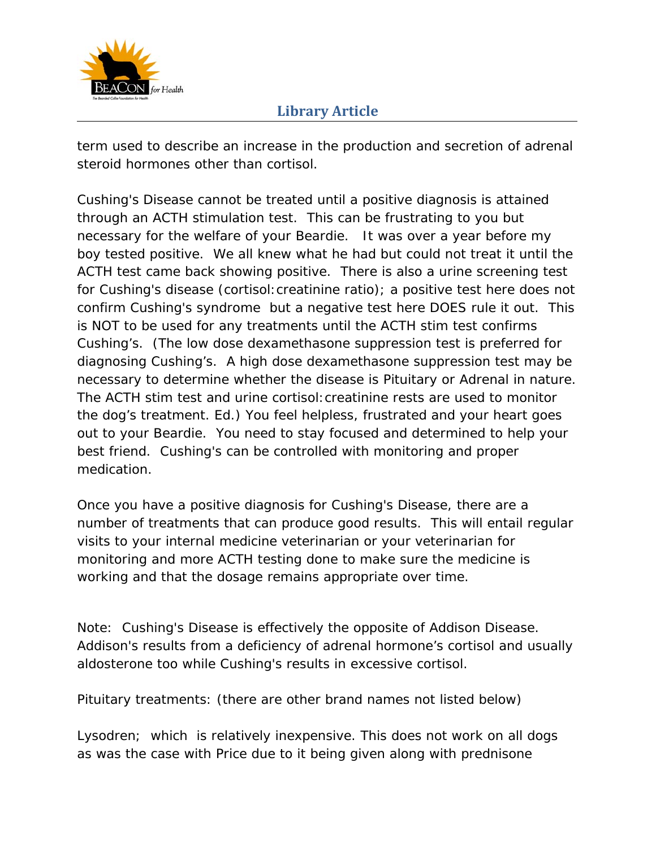

term used to describe an increase in the production and secretion of adrenal steroid hormones other than cortisol.

Cushing's Disease cannot be treated until a positive diagnosis is attained through an ACTH stimulation test. This can be frustrating to you but necessary for the welfare of your Beardie. It was over a year before my boy tested positive. We all knew what he had but could not treat it until the ACTH test came back showing positive. There is also a urine screening test for Cushing's disease (cortisol:creatinine ratio); a positive test here does not confirm Cushing's syndrome but a negative test here DOES rule it out. This is NOT to be used for any treatments until the ACTH stim test confirms Cushing's. *(The low dose dexamethasone suppression test is preferred for diagnosing Cushing's. A high dose dexamethasone suppression test may be necessary to determine whether the disease is Pituitary or Adrenal in nature. The ACTH stim test and urine cortisol:creatinine rests are used to monitor the dog's treatment. Ed.*) You feel helpless, frustrated and your heart goes out to your Beardie. You need to stay focused and determined to help your best friend. Cushing's can be controlled with monitoring and proper medication.

Once you have a positive diagnosis for Cushing's Disease, there are a number of treatments that can produce good results. This will entail regular visits to your internal medicine veterinarian or your veterinarian for monitoring and more ACTH testing done to make sure the medicine is working and that the dosage remains appropriate over time.

Note: Cushing's Disease is effectively the opposite of Addison Disease. Addison's results from a deficiency of adrenal hormone's cortisol and usually aldosterone too while Cushing's results in excessive cortisol.

Pituitary treatments: (there are other brand names not listed below)

Lysodren; which is relatively inexpensive. This does not work on all dogs as was the case with Price due to it being given along with prednisone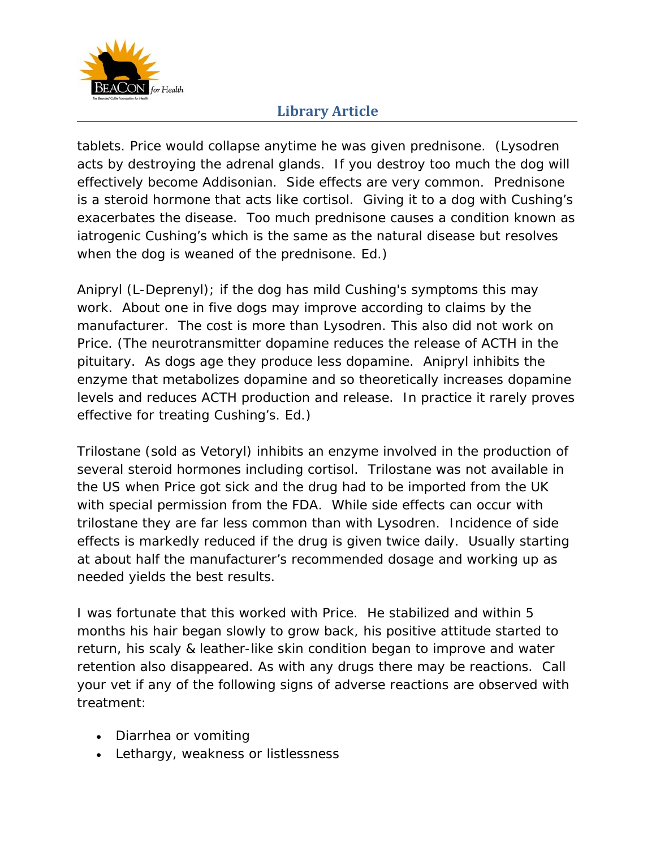

tablets. Price would collapse anytime he was given prednisone. *(Lysodren*  acts by destroying the adrenal glands. If you destroy too much the dog will *effectively become Addisonian. Side effects are very common. Prednisone is a steroid hormone that acts like cortisol. Giving it to a dog with Cushing's exacerbates the disease. Too much prednisone causes a condition known as iatrogenic Cushing's which is the same as the natural disease but resolves when the dog is weaned of the prednisone. Ed.)*

Anipryl (L-Deprenyl); if the dog has mild Cushing's symptoms this may work. About one in five dogs may improve according to claims by the manufacturer. The cost is more than Lysodren. This also did not work on Price. *(The neurotransmitter dopamine reduces the release of ACTH in the pituitary. As dogs age they produce less dopamine. Anipryl inhibits the enzyme that metabolizes dopamine and so theoretically increases dopamine levels and reduces ACTH production and release. In practice it rarely proves effective for treating Cushing's. Ed.)*

Trilostane (sold as Vetoryl) inhibits an enzyme involved in the production of several steroid hormones including cortisol. Trilostane was not available in the US when Price got sick and the drug had to be imported from the UK with special permission from the FDA. While side effects can occur with trilostane they are far less common than with Lysodren. Incidence of side effects is markedly reduced if the drug is given twice daily. Usually starting at about half the manufacturer's recommended dosage and working up as needed yields the best results.

I was fortunate that this worked with Price. He stabilized and within 5 months his hair began slowly to grow back, his positive attitude started to return, his scaly & leather-like skin condition began to improve and water retention also disappeared. As with any drugs there may be reactions. Call your vet if any of the following signs of adverse reactions are observed with treatment:

- Diarrhea or vomiting
- Lethargy, weakness or listlessness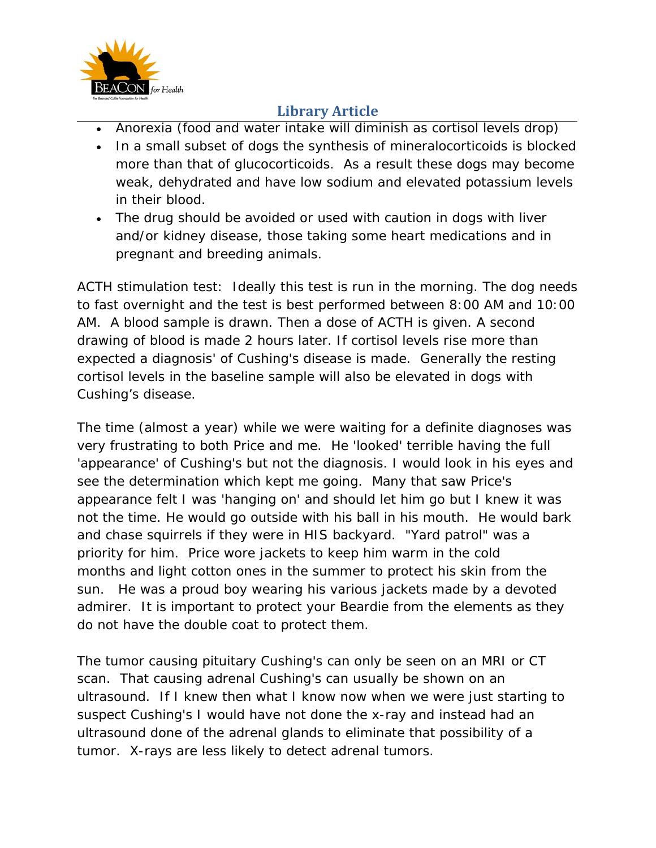

- Anorexia (food and water intake will diminish as cortisol levels drop)
- In a small subset of dogs the synthesis of mineralocorticoids is blocked more than that of glucocorticoids. As a result these dogs may become weak, dehydrated and have low sodium and elevated potassium levels in their blood.
- The drug should be avoided or used with caution in dogs with liver and/or kidney disease, those taking some heart medications and in pregnant and breeding animals.

ACTH stimulation test: Ideally this test is run in the morning. The dog needs to fast overnight and the test is best performed between 8:00 AM and 10:00 AM. A blood sample is drawn. Then a dose of ACTH is given. A second drawing of blood is made 2 hours later. If cortisol levels rise more than expected a diagnosis' of Cushing's disease is made. Generally the resting cortisol levels in the baseline sample will also be elevated in dogs with Cushing's disease.

The time (almost a year) while we were waiting for a definite diagnoses was very frustrating to both Price and me. He 'looked' terrible having the full 'appearance' of Cushing's but not the diagnosis. I would look in his eyes and see the determination which kept me going. Many that saw Price's appearance felt I was 'hanging on' and should let him go but I knew it was not the time. He would go outside with his ball in his mouth. He would bark and chase squirrels if they were in HIS backyard. "Yard patrol" was a priority for him. Price wore jackets to keep him warm in the cold months and light cotton ones in the summer to protect his skin from the sun. He was a proud boy wearing his various jackets made by a devoted admirer. It is important to protect your Beardie from the elements as they do not have the double coat to protect them.

The tumor causing pituitary Cushing's can only be seen on an MRI or CT scan. That causing adrenal Cushing's can usually be shown on an ultrasound. If I knew then what I know now when we were just starting to suspect Cushing's I would have not done the x-ray and instead had an ultrasound done of the adrenal glands to eliminate that possibility of a tumor. X-rays are less likely to detect adrenal tumors.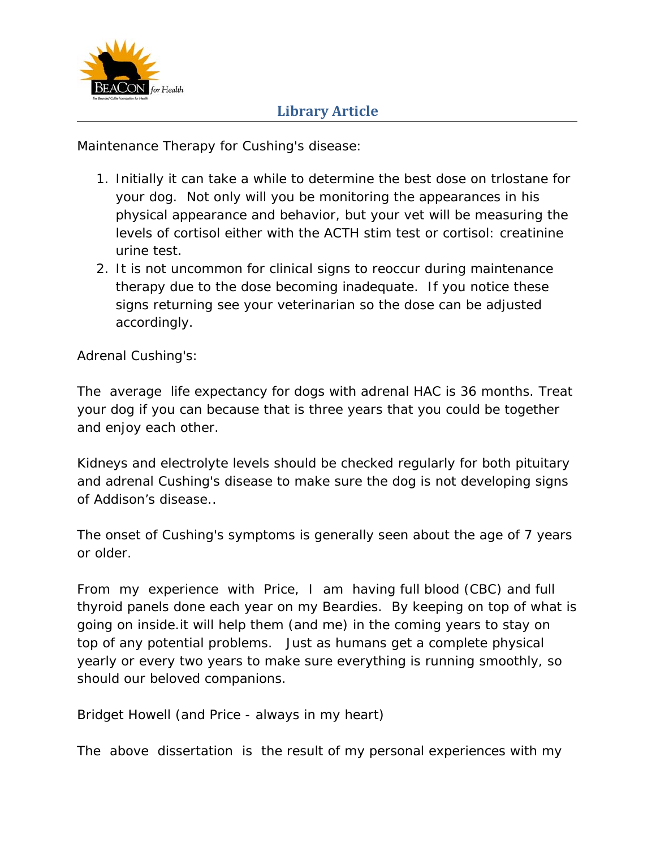

Maintenance Therapy for Cushing's disease:

- 1. Initially it can take a while to determine the best dose on trlostane for your dog. Not only will you be monitoring the appearances in his physical appearance and behavior, but your vet will be measuring the levels of cortisol either with the ACTH stim test or cortisol: creatinine urine test.
- 2. It is not uncommon for clinical signs to reoccur during maintenance therapy due to the dose becoming inadequate. If you notice these signs returning see your veterinarian so the dose can be adjusted accordingly.

Adrenal Cushing's:

The average life expectancy for dogs with adrenal HAC is 36 months. Treat your dog if you can because that is three years that you could be together and enjoy each other.

Kidneys and electrolyte levels should be checked regularly for both pituitary and adrenal Cushing's disease to make sure the dog is not developing signs of Addison's disease..

The onset of Cushing's symptoms is generally seen about the age of 7 years or older.

From my experience with Price, I am having full blood (CBC) and full thyroid panels done each year on my Beardies. By keeping on top of what is going on inside.it will help them (and me) in the coming years to stay on top of any potential problems. Just as humans get a complete physical yearly or every two years to make sure everything is running smoothly, so should our beloved companions.

Bridget Howell (and Price - always in my heart)

The above dissertation is the result of my personal experiences with my